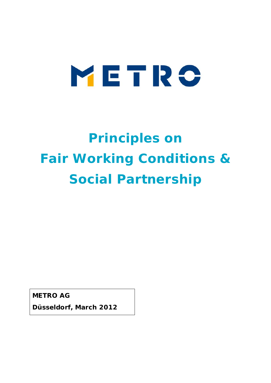# METRO

# **Principles on Fair Working Conditions & Social Partnership**

**METRO AG**

**Düsseldorf, March 2012**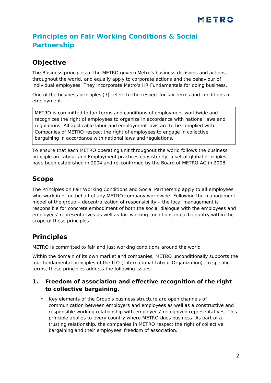# **Principles on Fair Working Conditions & Social Partnership**

## **Objective**

The Business principles of the METRO govern Metro's business decisions and actions throughout the world, and equally apply to corporate actions and the behaviour of individual employees. They incorporate Metro's HR Fundamentals for doing business.

One of the business principles (7) refers to the respect for fair terms and conditions of employment.

*METRO is committed to fair terms and conditions of employment worldwide and recognizes the right of employees to organize in accordance with national laws and regulations. All applicable labor and employment laws are to be complied with. Companies of METRO respect the right of employees to engage in collective bargaining in accordance with national laws and regulations.*

To ensure that each METRO operating unit throughout the world follows the business principle on Labour and Employment practices consistently, a set of global principles have been established in 2004 and re-confirmed by the Board of METRO AG in 2008.

#### **Scope**

The Principles on Fair Working Conditions and Social Partnership apply to all employees who work in or on behalf of any METRO company worldwide. Following the management model of the group – decentralization of responsibility – the local management is responsible for concrete embodiment of both the social dialogue with the employees and employees' representatives as well as fair working conditions in each country within the scope of these principles

## **Principles**

METRO is committed to fair and just working conditions around the world

Within the domain of its own market and companies, METRO unconditionally supports the four fundamental principles of the ILO (International Labour Organization). In specific terms, these principles address the following issues:

- **1. Freedom of association and effective recognition of the right to collective bargaining.**
	- Key elements of the Group's business structure are open channels of  $\mathbf{r}$  . communication between employers and employees as well as a constructive and responsible working relationship with employees' recognized representatives. This principle applies to every country where METRO does business. As part of a trusting relationship, the companies in METRO respect the right of collective bargaining and their employees' freedom of association.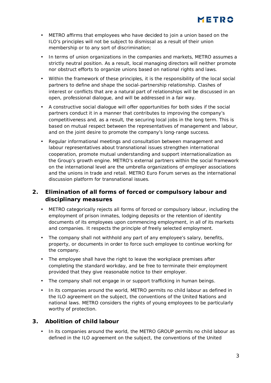- METRO affirms that employees who have decided to join a union based on the  $\mathbf{r}$ ILO's principles will not be subject to dismissal as a result of their union membership or to any sort of discrimination;
- In terms of union organizations in the companies and markets, METRO assumes a  $\overline{\phantom{a}}$ strictly neutral position. As a result, local managing directors will neither promote nor obstruct efforts to organize unions based on national rights and laws.
- Within the framework of these principles, it is the responsibility of the local social partners to define and shape the social-partnership relationship. Clashes of interest or conflicts that are a natural part of relationships will be discussed in an open, professional dialogue, and will be addressed in a fair way.
- A constructive social dialogue will offer opportunities for both sides if the social partners conduct it in a manner that contributes to improving the company's competitiveness and, as a result, the securing local jobs in the long term. This is based on mutual respect between the representatives of management and labour, and on the joint desire to promote the company's long-range success.
- Regular informational meetings and consultation between management and labour representatives about transnational issues strengthen international cooperation, promote mutual understanding and support internationalization as the Group's growth engine. METRO's external partners within the social framework on the international level are the umbrella organizations of employer associations and the unions in trade and retail. METRO Euro Forum serves as the international discussion platform for transnational issues.

#### **2. Elimination of all forms of forced or compulsory labour and disciplinary measures**

- METRO categorically rejects all forms of forced or compulsory labour, including the employment of prison inmates, lodging deposits or the retention of identity documents of its employees upon commencing employment, in all of its markets and companies. It respects the principle of freely selected employment.
- The company shall not withhold any part of any employee's salary, benefits,  $\mathcal{L}^{\mathcal{L}}$ property, or documents in order to force such employee to continue working for the company.
- The employee shall have the right to leave the workplace premises after completing the standard workday, and be free to terminate their employment provided that they give reasonable notice to their employer.
- The company shall not engage in or support trafficking in human beings.
- In its companies around the world, METRO permits no child labour as defined in the ILO agreement on the subject, the conventions of the United Nations and national laws. METRO considers the rights of young employees to be particularly worthy of protection.
- **3. Abolition of child labour**
	- In its companies around the world, the METRO GROUP permits no child labour as defined in the ILO agreement on the subject, the conventions of the United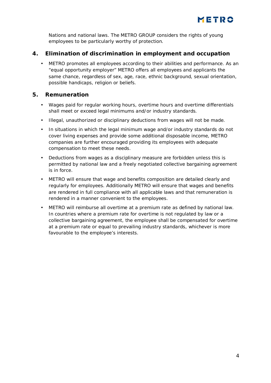Nations and national laws. The METRO GROUP considers the rights of young employees to be particularly worthy of protection.

#### **4. Elimination of discrimination in employment and occupation**

METRO promotes all employees according to their abilities and performance. As an "equal opportunity employer" METRO offers all employees and applicants the same chance, regardless of sex, age, race, ethnic background, sexual orientation, possible handicaps, religion or beliefs.

#### **5. Remuneration**

- Wages paid for regular working hours, overtime hours and overtime differentials  $\mathbf{r}^{\prime}$ shall meet or exceed legal minimums and/or industry standards.
- Illegal, unauthorized or disciplinary deductions from wages will not be made.  $\mathbf{r}^{\prime}$
- In situations in which the legal minimum wage and/or industry standards do not  $\mathbf{r}$ cover living expenses and provide some additional disposable income, METRO companies are further encouraged providing its employees with adequate compensation to meet these needs.
- Deductions from wages as a disciplinary measure are forbidden unless this is l. permitted by national law and a freely negotiated collective bargaining agreement is in force.
- METRO will ensure that wage and benefits composition are detailed clearly and regularly for employees. Additionally METRO will ensure that wages and benefits are rendered in full compliance with all applicable laws and that remuneration is rendered in a manner convenient to the employees.
- METRO will reimburse all overtime at a premium rate as defined by national law. t. In countries where a premium rate for overtime is not regulated by law or a collective bargaining agreement, the employee shall be compensated for overtime at a premium rate or equal to prevailing industry standards, whichever is more favourable to the employee's interests.